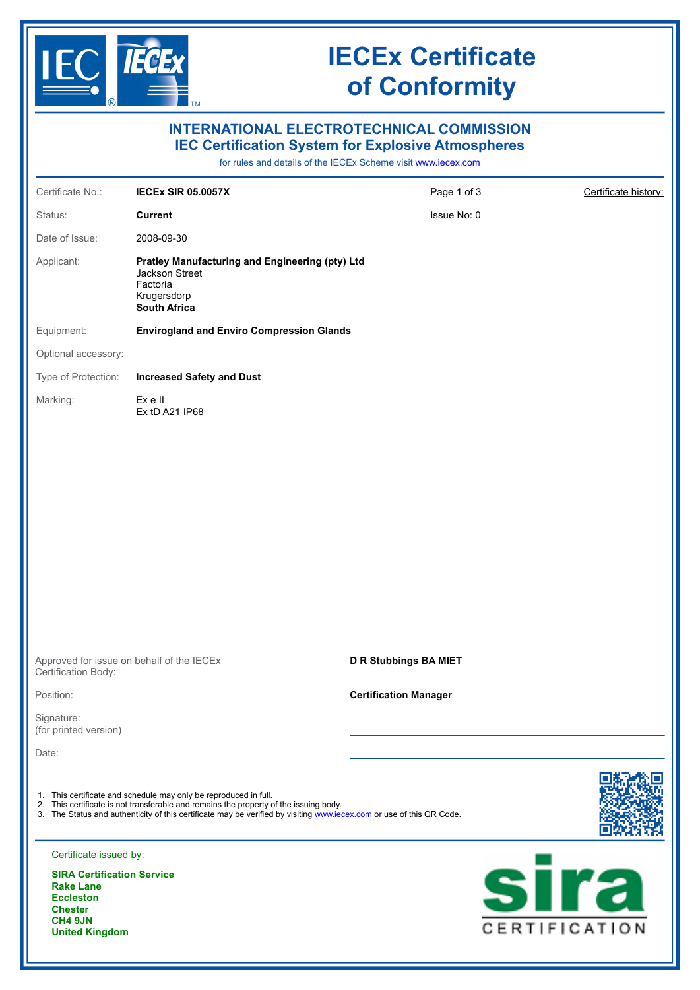

**United Kingdom**

## **IECEx Certificate of Conformity**

|                                                                                                                                 |                                                                                                                                                           | <b>INTERNATIONAL ELECTROTECHNICAL COMMISSION</b>                                                                           |                              |
|---------------------------------------------------------------------------------------------------------------------------------|-----------------------------------------------------------------------------------------------------------------------------------------------------------|----------------------------------------------------------------------------------------------------------------------------|------------------------------|
|                                                                                                                                 |                                                                                                                                                           | <b>IEC Certification System for Explosive Atmospheres</b><br>for rules and details of the IECEx Scheme visit www.iecex.com |                              |
| Certificate No.:                                                                                                                | <b>IECEX SIR 05.0057X</b>                                                                                                                                 | Page 1 of 3                                                                                                                | Certificate history:         |
| Status:                                                                                                                         | <b>Current</b>                                                                                                                                            | Issue No: 0                                                                                                                |                              |
| Date of Issue:                                                                                                                  | 2008-09-30                                                                                                                                                |                                                                                                                            |                              |
| Applicant:                                                                                                                      | Pratley Manufacturing and Engineering (pty) Ltd<br>Jackson Street<br>Factoria<br>Krugersdorp<br><b>South Africa</b>                                       |                                                                                                                            |                              |
| Equipment:                                                                                                                      | <b>Envirogland and Enviro Compression Glands</b>                                                                                                          |                                                                                                                            |                              |
| Optional accessory:                                                                                                             |                                                                                                                                                           |                                                                                                                            |                              |
| Type of Protection:                                                                                                             | <b>Increased Safety and Dust</b>                                                                                                                          |                                                                                                                            |                              |
| Marking:                                                                                                                        | Ex e II<br>Ex tD A21 IP68                                                                                                                                 |                                                                                                                            |                              |
|                                                                                                                                 |                                                                                                                                                           |                                                                                                                            |                              |
| Certification Body:                                                                                                             | Approved for issue on behalf of the IECEx                                                                                                                 | <b>D R Stubbings BA MIET</b>                                                                                               |                              |
| Position:                                                                                                                       |                                                                                                                                                           | <b>Certification Manager</b>                                                                                               |                              |
| Signature:<br>(for printed version)                                                                                             |                                                                                                                                                           |                                                                                                                            |                              |
| Date:                                                                                                                           |                                                                                                                                                           |                                                                                                                            |                              |
|                                                                                                                                 | 1. This certificate and schedule may only be reproduced in full.<br>2. This certificate is not transferable and remains the property of the issuing body. | 3. The Status and authenticity of this certificate may be verified by visiting www.iecex.com or use of this QR Code.       |                              |
| Certificate issued by:                                                                                                          |                                                                                                                                                           |                                                                                                                            |                              |
| <b>SIRA Certification Service</b><br><b>Rake Lane</b><br><b>Eccleston</b><br><b>Chester</b><br>CH4 9JN<br><b>United Kingdom</b> |                                                                                                                                                           |                                                                                                                            | <u>sira</u><br>CERTIFICATION |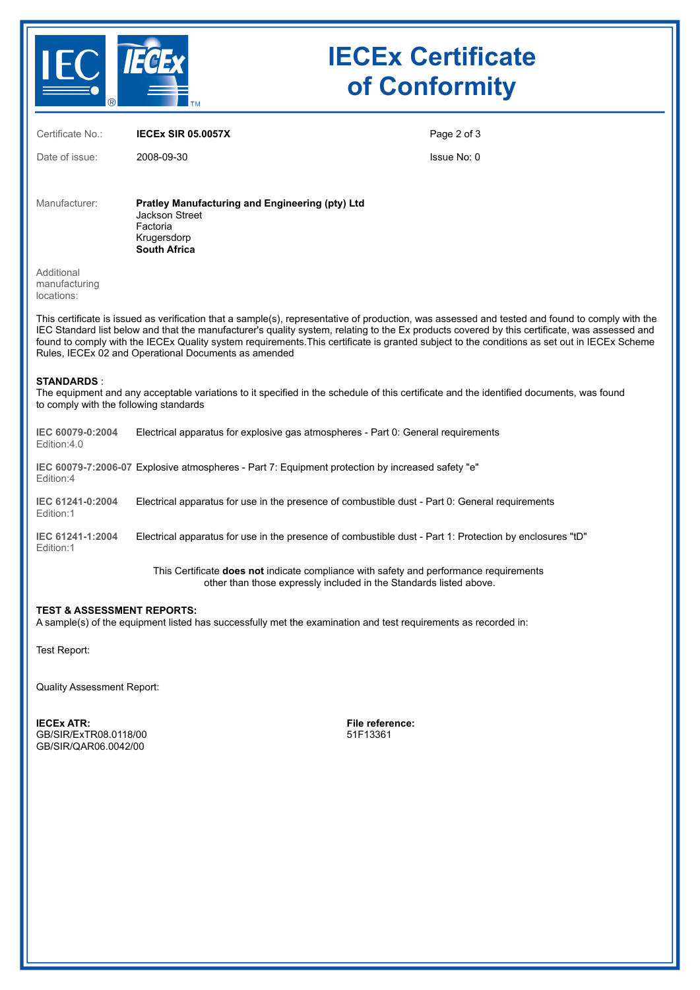

## **IECEx Certificate of Conformity**

| Certificate No.:                                                                                                                                        | <b>IECEX SIR 05.0057X</b>                                                                                                                                                                                                                                                                                                                                                                                                                                                                                | Page 2 of 3 |  |  |  |  |  |
|---------------------------------------------------------------------------------------------------------------------------------------------------------|----------------------------------------------------------------------------------------------------------------------------------------------------------------------------------------------------------------------------------------------------------------------------------------------------------------------------------------------------------------------------------------------------------------------------------------------------------------------------------------------------------|-------------|--|--|--|--|--|
| Date of issue:                                                                                                                                          | 2008-09-30                                                                                                                                                                                                                                                                                                                                                                                                                                                                                               | Issue No: 0 |  |  |  |  |  |
| Manufacturer:                                                                                                                                           | <b>Pratley Manufacturing and Engineering (pty) Ltd</b><br>Jackson Street<br>Factoria<br>Krugersdorp<br><b>South Africa</b>                                                                                                                                                                                                                                                                                                                                                                               |             |  |  |  |  |  |
| Additional<br>manufacturing<br>locations:                                                                                                               |                                                                                                                                                                                                                                                                                                                                                                                                                                                                                                          |             |  |  |  |  |  |
|                                                                                                                                                         | This certificate is issued as verification that a sample(s), representative of production, was assessed and tested and found to comply with the<br>IEC Standard list below and that the manufacturer's quality system, relating to the Ex products covered by this certificate, was assessed and<br>found to comply with the IECEx Quality system requirements. This certificate is granted subject to the conditions as set out in IECEx Scheme<br>Rules, IECEx 02 and Operational Documents as amended |             |  |  |  |  |  |
| <b>STANDARDS:</b><br>to comply with the following standards                                                                                             | The equipment and any acceptable variations to it specified in the schedule of this certificate and the identified documents, was found                                                                                                                                                                                                                                                                                                                                                                  |             |  |  |  |  |  |
| IEC 60079-0:2004<br>Edition:4.0                                                                                                                         | Electrical apparatus for explosive gas atmospheres - Part 0: General requirements                                                                                                                                                                                                                                                                                                                                                                                                                        |             |  |  |  |  |  |
| Edition:4                                                                                                                                               | IEC 60079-7:2006-07 Explosive atmospheres - Part 7: Equipment protection by increased safety "e"                                                                                                                                                                                                                                                                                                                                                                                                         |             |  |  |  |  |  |
| IEC 61241-0:2004<br>Edition:1                                                                                                                           | Electrical apparatus for use in the presence of combustible dust - Part 0: General requirements                                                                                                                                                                                                                                                                                                                                                                                                          |             |  |  |  |  |  |
| IEC 61241-1:2004<br>Edition:1                                                                                                                           | Electrical apparatus for use in the presence of combustible dust - Part 1: Protection by enclosures "tD"                                                                                                                                                                                                                                                                                                                                                                                                 |             |  |  |  |  |  |
|                                                                                                                                                         | This Certificate does not indicate compliance with safety and performance requirements<br>other than those expressly included in the Standards listed above.                                                                                                                                                                                                                                                                                                                                             |             |  |  |  |  |  |
| <b>TEST &amp; ASSESSMENT REPORTS:</b><br>A sample(s) of the equipment listed has successfully met the examination and test requirements as recorded in: |                                                                                                                                                                                                                                                                                                                                                                                                                                                                                                          |             |  |  |  |  |  |
| Test Report:                                                                                                                                            |                                                                                                                                                                                                                                                                                                                                                                                                                                                                                                          |             |  |  |  |  |  |

Quality Assessment Report:

**IECEx ATR: File reference:** GB/SIR/ExTR08.0118/00 GB/SIR/QAR06.0042/00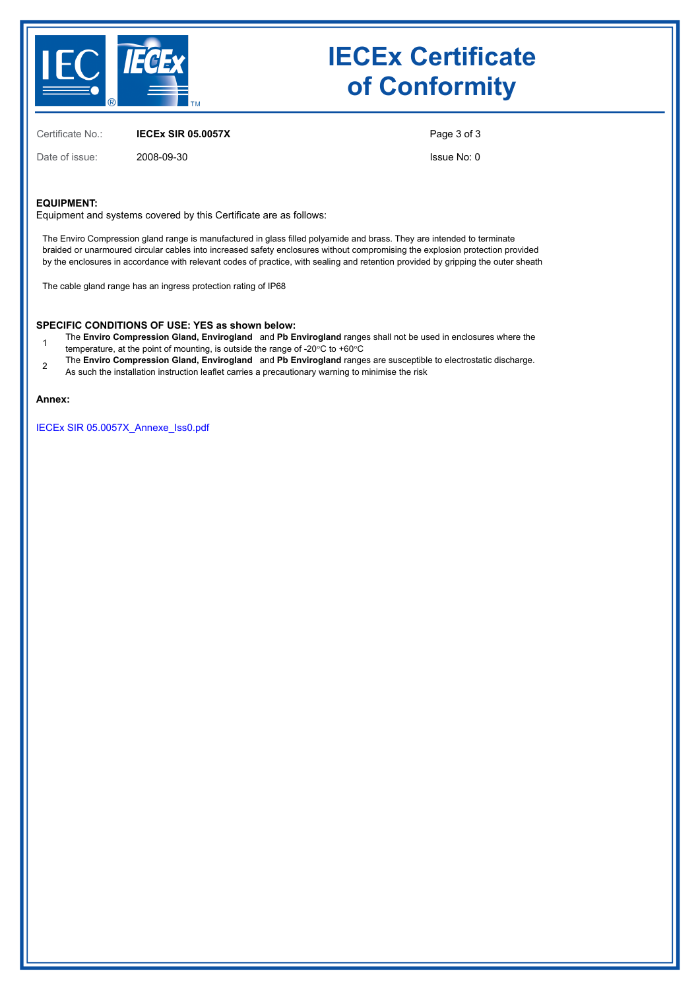

## **IECEx Certificate of Conformity**

Certificate No.: **IECEx SIR 05.0057X**

Date of issue: 2008-09-30

Page 3 of 3

Issue No: 0

#### **EQUIPMENT:**

Equipment and systems covered by this Certificate are as follows:

The Enviro Compression gland range is manufactured in glass filled polyamide and brass. They are intended to terminate braided or unarmoured circular cables into increased safety enclosures without compromising the explosion protection provided by the enclosures in accordance with relevant codes of practice, with sealing and retention provided by gripping the outer sheath

The cable gland range has an ingress protection rating of IP68

#### **SPECIFIC CONDITIONS OF USE: YES as shown below:**

- 1 The **Enviro Compression Gland, Envirogland** and **Pb Envirogland** ranges shall not be used in enclosures where the
	- temperature, at the point of mounting, is outside the range of -20°C to +60°C
- 2 The **Enviro Compression Gland, Envirogland** and **Pb Envirogland** ranges are susceptible to electrostatic discharge.
- As such the installation instruction leaflet carries a precautionary warning to minimise the risk

#### **Annex:**

[IECEx SIR 05.0057X\\_Annexe\\_Iss0.pdf](https://www.iecex-certs.com/deliverables/CERT/31894/view)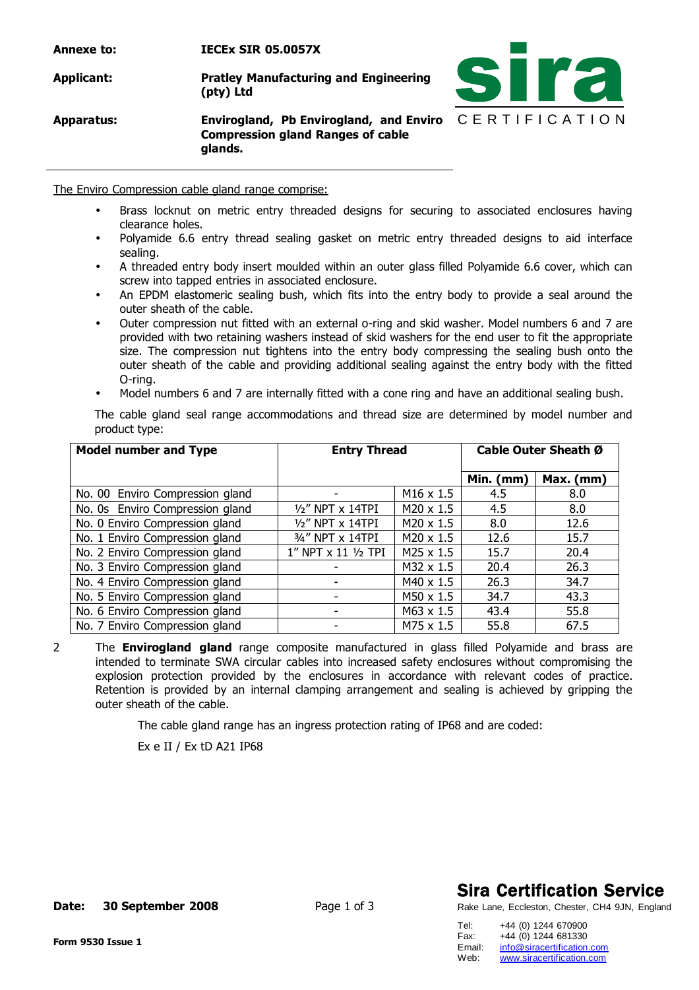C E R T I F I C A T I O N **Annexe to: IECEx SIR 05.0057X Applicant: Pratley Manufacturing and Engineering (pty) Ltd Apparatus: Envirogland, Pb Envirogland, and Enviro Compression gland Ranges of cable glands.**

The Enviro Compression cable gland range comprise:

- Brass locknut on metric entry threaded designs for securing to associated enclosures having clearance holes.
- Polyamide 6.6 entry thread sealing gasket on metric entry threaded designs to aid interface sealing.
- A threaded entry body insert moulded within an outer glass filled Polyamide 6.6 cover, which can screw into tapped entries in associated enclosure.
- An EPDM elastomeric sealing bush, which fits into the entry body to provide a seal around the outer sheath of the cable.
- Outer compression nut fitted with an external o-ring and skid washer. Model numbers 6 and 7 are provided with two retaining washers instead of skid washers for the end user to fit the appropriate size. The compression nut tightens into the entry body compressing the sealing bush onto the outer sheath of the cable and providing additional sealing against the entry body with the fitted O-ring.
- Model numbers 6 and 7 are internally fitted with a cone ring and have an additional sealing bush.

The cable gland seal range accommodations and thread size are determined by model number and product type:

| <b>Model number and Type</b>    | <b>Entry Thread</b> |                       | Cable Outer Sheath Ø |           |  |
|---------------------------------|---------------------|-----------------------|----------------------|-----------|--|
|                                 |                     |                       | Min. (mm)            | Max. (mm) |  |
| No. 00 Enviro Compression gland |                     | M <sub>16</sub> x 1.5 | 4.5                  | 8.0       |  |
| No. 0s Enviro Compression gland | 1/2" NPT x 14TPI    | $M20 \times 1.5$      | 4.5                  | 8.0       |  |
| No. 0 Enviro Compression gland  | $1/2$ " NPT x 14TPI | $M20 \times 1.5$      | 8.0                  | 12.6      |  |
| No. 1 Enviro Compression gland  | 3/4" NPT x 14TPI    | $M20 \times 1.5$      | 12.6                 | 15.7      |  |
| No. 2 Enviro Compression gland  | 1" NPT x 11 1/2 TPI | M25 x 1.5             | 15.7                 | 20.4      |  |
| No. 3 Enviro Compression gland  |                     | $M32 \times 1.5$      | 20.4                 | 26.3      |  |
| No. 4 Enviro Compression gland  |                     | M40 x 1.5             | 26.3                 | 34.7      |  |
| No. 5 Enviro Compression gland  |                     | M50 x 1.5             | 34.7                 | 43.3      |  |
| No. 6 Enviro Compression gland  |                     | M63 x 1.5             | 43.4                 | 55.8      |  |
| No. 7 Enviro Compression gland  |                     | $M75 \times 1.5$      | 55.8                 | 67.5      |  |

2 The **Envirogland gland** range composite manufactured in glass filled Polyamide and brass are intended to terminate SWA circular cables into increased safety enclosures without compromising the explosion protection provided by the enclosures in accordance with relevant codes of practice. Retention is provided by an internal clamping arrangement and sealing is achieved by gripping the outer sheath of the cable.

The cable gland range has an ingress protection rating of IP68 and are coded:

Ex e II / Ex tD A21 IP68

### **Sira Certification Service**

Rake Lane, Eccleston, Chester, CH4 9JN, England

Tel: +44 (0) 1244 670900 Fax: +44 (0) 1244 681330<br>Email: info@siracertification. Email: [info@siracertification.com](mailto:info@siracertification.com)<br>Web: www.siracertification.com [www.siracertification.com](http://www.siracertification.com)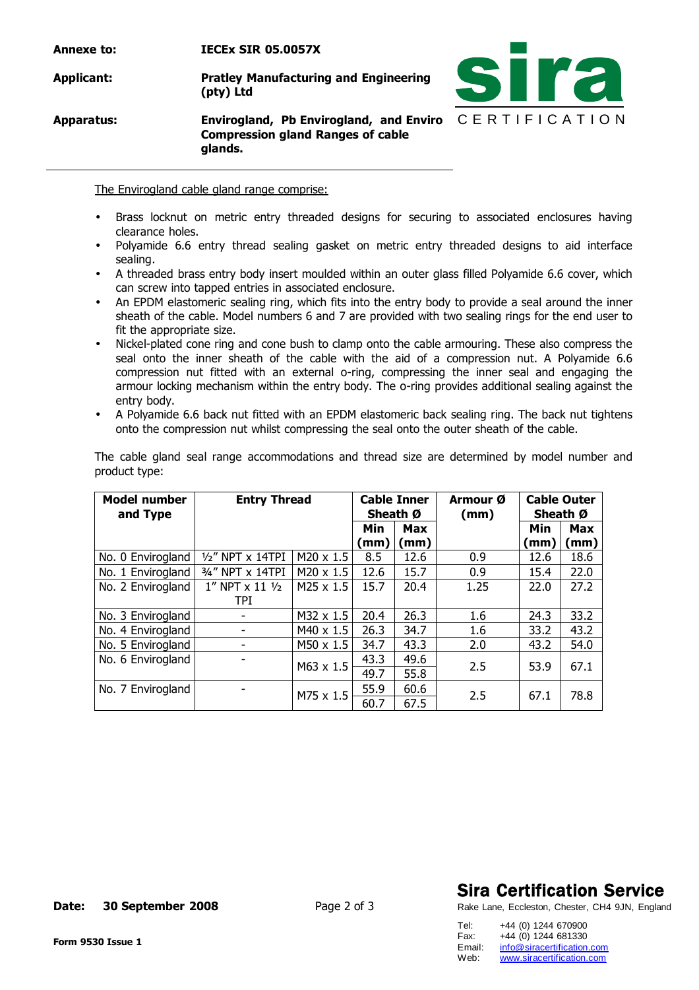| Annexe to: | <b>IECEX SIR 05.0057X</b>                                                                                            |  |
|------------|----------------------------------------------------------------------------------------------------------------------|--|
| Applicant: | <b>Pratley Manufacturing and Engineering</b><br>(pty) Ltd                                                            |  |
| Apparatus: | Envirogland, Pb Envirogland, and Enviro $C \nightharpoonup R$<br><b>Compression gland Ranges of cable</b><br>glands. |  |

The Envirogland cable gland range comprise:

- Brass locknut on metric entry threaded designs for securing to associated enclosures having clearance holes.
- Polyamide 6.6 entry thread sealing gasket on metric entry threaded designs to aid interface sealing.
- A threaded brass entry body insert moulded within an outer glass filled Polyamide 6.6 cover, which can screw into tapped entries in associated enclosure.
- An EPDM elastomeric sealing ring, which fits into the entry body to provide a seal around the inner sheath of the cable. Model numbers 6 and 7 are provided with two sealing rings for the end user to fit the appropriate size.
- Nickel-plated cone ring and cone bush to clamp onto the cable armouring. These also compress the seal onto the inner sheath of the cable with the aid of a compression nut. A Polyamide 6.6 compression nut fitted with an external o-ring, compressing the inner seal and engaging the armour locking mechanism within the entry body. The o-ring provides additional sealing against the entry body.
- A Polyamide 6.6 back nut fitted with an EPDM elastomeric back sealing ring. The back nut tightens onto the compression nut whilst compressing the seal onto the outer sheath of the cable.

The cable gland seal range accommodations and thread size are determined by model number and product type:

| <b>Model number</b><br>and Type | <b>Entry Thread</b> |                  | <b>Cable Inner</b><br>Sheath Ø |                    | Armour Ø<br>(mm) | <b>Cable Outer</b><br>Sheath Ø |                   |
|---------------------------------|---------------------|------------------|--------------------------------|--------------------|------------------|--------------------------------|-------------------|
|                                 |                     |                  | Min<br>(mm)                    | <b>Max</b><br>(mm) |                  | Min<br>(mm)                    | <b>Max</b><br>(mm |
| No. 0 Envirogland               | 1/2" NPT x 14TPI    | $M20 \times 1.5$ | 8.5                            | 12.6               | 0.9              | 12.6                           | 18.6              |
| No. 1 Envirogland               | 3/4" NPT x 14TPI    | $M20 \times 1.5$ | 12.6                           | 15.7               | 0.9              | 15.4                           | 22.0              |
| No. 2 Envirogland               | 1" NPT x 11 1/2     | $M25 \times 1.5$ | 15.7                           | 20.4               | 1.25             | 22.0                           | 27.2              |
|                                 | TPI                 |                  |                                |                    |                  |                                |                   |
| No. 3 Envirogland               |                     | $M32 \times 1.5$ | 20.4                           | 26.3               | 1.6              | 24.3                           | 33.2              |
| No. 4 Envirogland               |                     | M40 x 1.5        | 26.3                           | 34.7               | 1.6              | 33.2                           | 43.2              |
| No. 5 Envirogland               |                     | M50 x 1.5        | 34.7                           | 43.3               | 2.0              | 43.2                           | 54.0              |
| No. 6 Envirogland               |                     | M63 x 1.5        | 43.3                           | 49.6               | 2.5              | 53.9                           | 67.1              |
|                                 |                     |                  | 49.7                           | 55.8               |                  |                                |                   |
| No. 7 Envirogland               |                     |                  | 55.9                           | 60.6               |                  |                                |                   |
|                                 |                     | M75 x 1.5        | 60.7                           | 67.5               | 2.5              | 67.1                           | 78.8              |

### **Sira Certification Service**

T I F I C A T I O N

**Ira** 

Rake Lane, Eccleston, Chester, CH4 9JN, England

Tel: +44 (0) 1244 670900 Fax: +44 (0) 1244 681330<br>Email: info@siracertification. Email: [info@siracertification.com](mailto:info@siracertification.com)<br>Web: www.siracertification.com [www.siracertification.com](http://www.siracertification.com)